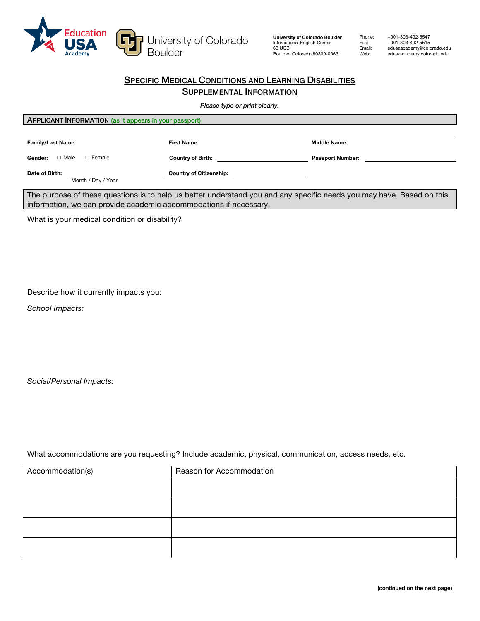

**University of Colorado Boulder** International English Center 63 UCB Boulder, Colorado 80309-0063

Phone: Fax: Email: Web:

+001-303-492-5547 +001-303-492-5515 edusaacademy@colorado.edu edusaacademy.colorado.edu

## **SPECIFIC MEDICAL CONDITIONS AND LEARNING DISABILITIES** SUPPLEMENTAL INFORMATION

*Please type or print clearly.*

| <b>APPLICANT INFORMATION</b> (as it appears in your passport) |                                |                         |
|---------------------------------------------------------------|--------------------------------|-------------------------|
|                                                               |                                |                         |
| <b>Family/Last Name</b>                                       | <b>First Name</b>              | <b>Middle Name</b>      |
| $\Box$ Male<br>$\Box$ Female<br>Gender:                       | <b>Country of Birth:</b>       | <b>Passport Number:</b> |
| Date of Birth:<br>Month / Day / Year                          | <b>Country of Citizenship:</b> |                         |

The purpose of these questions is to help us better understand you and any specific needs you may have. Based on this information, we can provide academic accommodations if necessary.

What is your medical condition or disability?

Describe how it currently impacts you:

*School Impacts:*

*Social/Personal Impacts:*

What accommodations are you requesting? Include academic, physical, communication, access needs, etc.

| Accommodation(s) | Reason for Accommodation |
|------------------|--------------------------|
|                  |                          |
|                  |                          |
|                  |                          |
|                  |                          |
|                  |                          |
|                  |                          |
|                  |                          |
|                  |                          |